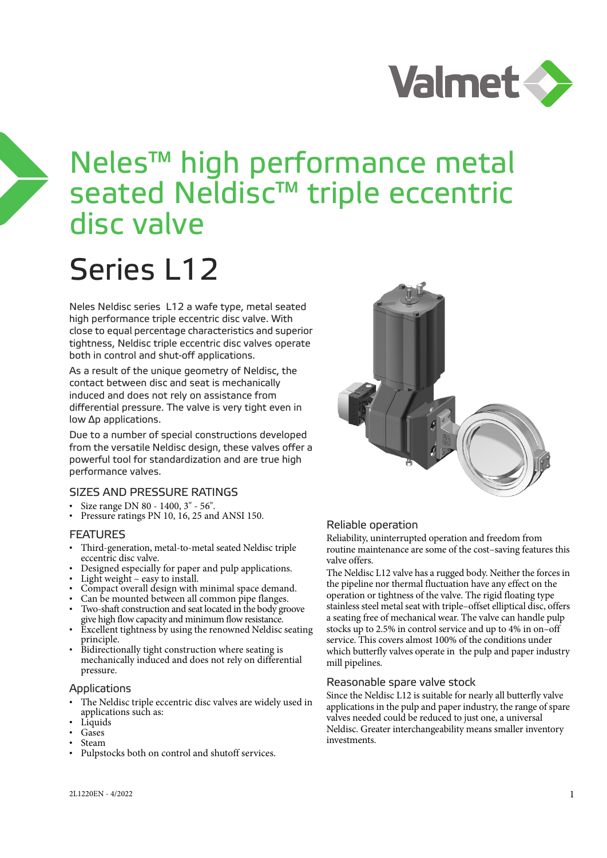

## Neles™ high performance metal seated Neldisc™ triple eccentric disc valve

# Series L12

Neles Neldisc series L12 a wafe type, metal seated high performance triple eccentric disc valve. With close to equal percentage characteristics and superior tightness, Neldisc triple eccentric disc valves operate both in control and shut-off applications.

As a result of the unique geometry of Neldisc, the contact between disc and seat is mechanically induced and does not rely on assistance from differential pressure. The valve is very tight even in low Δp applications.

Due to a number of special constructions developed from the versatile Neldisc design, these valves offer a powerful tool for standardization and are true high performance valves.

## SIZES AND PRESSURE RATINGS

- Size range DN 80 1400, 3" 56".
- Pressure ratings PN 10, 16, 25 and ANSI 150.

### FEATURES

- Third-generation, metal-to-metal seated Neldisc triple eccentric disc valve.
- Designed especially for paper and pulp applications.
- Light weight  $-$  easy to install.
- Compact overall design with minimal space demand.
- Can be mounted between all common pipe flanges.
- Two-shaft construction and seat located in the body groove give high flow capacity and minimum flow resistance.
- Excellent tightness by using the renowned Neldisc seating principle.
- Bidirectionally tight construction where seating is mechanically induced and does not rely on differential pressure.

## Applications

- The Neldisc triple eccentric disc valves are widely used in applications such as:
- Liquids
- Gases
- Steam
- Pulpstocks both on control and shutoff services.



## Reliable operation

Reliability, uninterrupted operation and freedom from routine maintenance are some of the cost–saving features this valve offers.

The Neldisc L12 valve has a rugged body. Neither the forces in the pipeline nor thermal fluctuation have any effect on the operation or tightness of the valve. The rigid floating type stainless steel metal seat with triple–offset elliptical disc, offers a seating free of mechanical wear. The valve can handle pulp stocks up to 2.5% in control service and up to 4% in on–off service. This covers almost 100% of the conditions under which butterfly valves operate in the pulp and paper industry mill pipelines.

### Reasonable spare valve stock

Since the Neldisc L12 is suitable for nearly all butterfly valve applications in the pulp and paper industry, the range of spare valves needed could be reduced to just one, a universal Neldisc. Greater interchangeability means smaller inventory investments.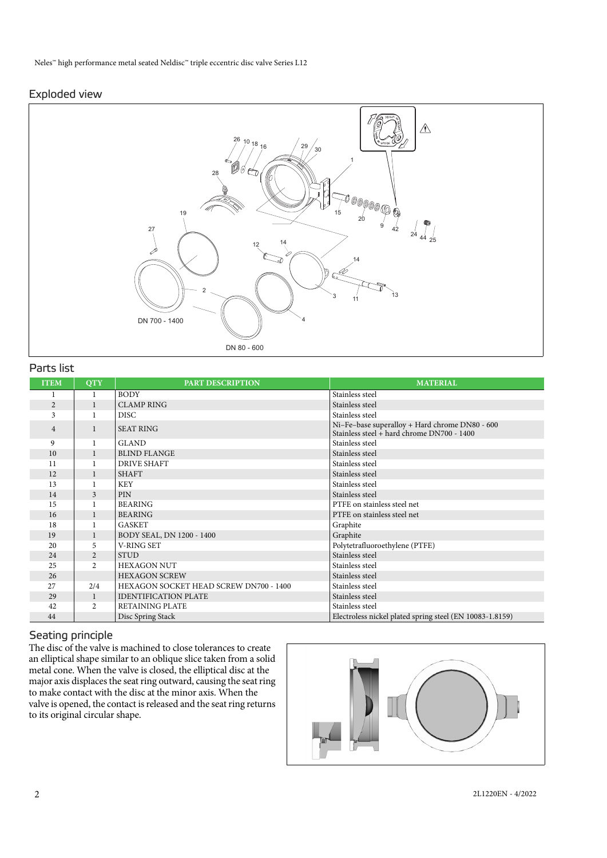## Exploded view



## Parts list

| <b>ITEM</b>    | <b>QTY</b>     | PART DESCRIPTION                       | <b>MATERIAL</b>                                                                                |
|----------------|----------------|----------------------------------------|------------------------------------------------------------------------------------------------|
|                |                | <b>BODY</b>                            | Stainless steel                                                                                |
| $\overline{2}$ | $\mathbf{1}$   | <b>CLAMP RING</b>                      | Stainless steel                                                                                |
| 3              |                | <b>DISC</b>                            | Stainless steel                                                                                |
| $\overline{4}$ | $\mathbf{1}$   | <b>SEAT RING</b>                       | Ni-Fe-base superalloy + Hard chrome DN80 - 600<br>Stainless steel $+$ hard chrome DN700 - 1400 |
| 9              | 1              | <b>GLAND</b>                           | Stainless steel                                                                                |
| 10             | 1              | <b>BLIND FLANGE</b>                    | Stainless steel                                                                                |
| 11             | 1              | <b>DRIVE SHAFT</b>                     | Stainless steel                                                                                |
| 12             | 1              | <b>SHAFT</b>                           | Stainless steel                                                                                |
| 13             |                | <b>KEY</b>                             | Stainless steel                                                                                |
| 14             | 3              | <b>PIN</b>                             | Stainless steel                                                                                |
| 15             |                | <b>BEARING</b>                         | PTFE on stainless steel net                                                                    |
| 16             | $\mathbf{1}$   | <b>BEARING</b>                         | PTFE on stainless steel net                                                                    |
| 18             |                | <b>GASKET</b>                          | Graphite                                                                                       |
| 19             | $\mathbf{1}$   | BODY SEAL, DN 1200 - 1400              | Graphite                                                                                       |
| 20             | 5              | <b>V-RING SET</b>                      | Polytetrafluoroethylene (PTFE)                                                                 |
| 24             | $\overline{2}$ | <b>STUD</b>                            | Stainless steel                                                                                |
| 25             | $\overline{c}$ | <b>HEXAGON NUT</b>                     | Stainless steel                                                                                |
| 26             |                | <b>HEXAGON SCREW</b>                   | Stainless steel                                                                                |
| 27             | 2/4            | HEXAGON SOCKET HEAD SCREW DN700 - 1400 | Stainless steel                                                                                |
| 29             | 1              | <b>IDENTIFICATION PLATE</b>            | Stainless steel                                                                                |
| 42             | $\overline{2}$ | <b>RETAINING PLATE</b>                 | Stainless steel                                                                                |
| 44             |                | Disc Spring Stack                      | Electroless nickel plated spring steel (EN 10083-1.8159)                                       |

## Seating principle

The disc of the valve is machined to close tolerances to create an elliptical shape similar to an oblique slice taken from a solid metal cone. When the valve is closed, the elliptical disc at the major axis displaces the seat ring outward, causing the seat ring to make contact with the disc at the minor axis. When the valve is opened, the contact is released and the seat ring returns to its original circular shape.

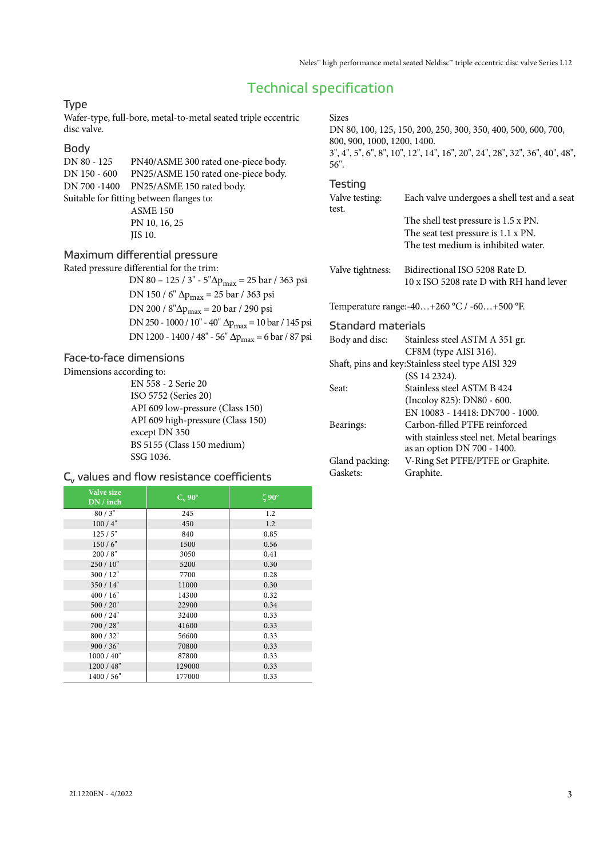## Technical specification

## Type

Wafer-type, full-bore, metal-to-metal seated triple eccentric disc valve.

## Body

DN 80 - 125 PN40/ASME 300 rated one-piece body. DN 150 - 600 PN25/ASME 150 rated one-piece body. DN 700 -1400 PN25/ASME 150 rated body. Suitable for fitting between flanges to: ASME 150 PN 10, 16, 25 JIS 10.

Maximum differential pressure

Rated pressure differential for the trim: DN 80 – 125 / 3" - 5"Δpmax = 25 bar / 363 psi DN 150 / 6" Δ $p_{max}$  = 25 bar / 363 psi DN 200 / 8"Δp<sub>max</sub> = 20 bar / 290 psi DN 250 - 1000 / 10" - 40" Δ $p_{max}$  = 10 bar / 145 psi DN 1200 - 1400 / 48" - 56" Δ $p_{max}$  = 6 bar / 87 psi

## Face-to-face dimensions

Dimensions according to:

EN 558 - 2 Serie 20 ISO 5752 (Series 20) API 609 low-pressure (Class 150) API 609 high-pressure (Class 150) except DN 350 BS 5155 (Class 150 medium) SSG 1036.

## $C_v$  values and flow resistance coefficients

| Valve size<br>DN / inch | $C_v$ 90° | $\zeta$ 90° |
|-------------------------|-----------|-------------|
| 80/3"                   | 245       | 1.2         |
| 100/4"                  | 450       | 1.2         |
| 125/5"                  | 840       | 0.85        |
| 150/6"                  | 1500      | 0.56        |
| 200/8"                  | 3050      | 0.41        |
| 250 / 10"               | 5200      | 0.30        |
| 300/12"                 | 7700      | 0.28        |
| 350 / 14"               | 11000     | 0.30        |
| 400 / 16"               | 14300     | 0.32        |
| 500 / 20"               | 22900     | 0.34        |
| 600 / 24"               | 32400     | 0.33        |
| 700 / 28"               | 41600     | 0.33        |
| 800 / 32"               | 56600     | 0.33        |
| 900 / 36"               | 70800     | 0.33        |
| 1000 / 40"              | 87800     | 0.33        |
| 1200 / 48"              | 129000    | 0.33        |
| 1400 / 56"              | 177000    | 0.33        |

Sizes DN 80, 100, 125, 150, 200, 250, 300, 350, 400, 500, 600, 700, 800, 900, 1000, 1200, 1400. 3", 4", 5", 6", 8", 10", 12", 14", 16", 20", 24", 28", 32", 36", 40", 48", 56".

#### Testing

| Valve testing:<br>test.   | Each valve undergoes a shell test and a seat                            |
|---------------------------|-------------------------------------------------------------------------|
|                           | The shell test pressure is 1.5 x PN.                                    |
|                           | The seat test pressure is 1.1 x PN.                                     |
|                           | The test medium is inhibited water.                                     |
| Valve tightness:          | Bidirectional ISO 5208 Rate D.                                          |
|                           | 10 x ISO 5208 rate D with RH hand lever                                 |
|                           | Temperature range:-40+260 °C / -60+500 °F.                              |
| <b>Standard materials</b> |                                                                         |
| Body and disc:            | Stainless steel ASTM A 351 gr.                                          |
|                           | CF8M (type AISI 316).                                                   |
|                           | Shaft, pins and key: Stainless steel type AISI 329                      |
|                           | (SS 14 2324).                                                           |
| Seat:                     | Stainless steel ASTM B 424                                              |
|                           | (Incoloy 825): DN80 - 600.                                              |
|                           | EN 10083 - 14418: DN700 - 1000.                                         |
| Bearings:                 | Carbon-filled PTFE reinforced                                           |
|                           | with stainless steel net. Metal bearings<br>as an option DN 700 - 1400. |
| Gland packing:            | V-Ring Set PTFE/PTFE or Graphite.                                       |
| Gaskets:                  | Graphite.                                                               |
|                           |                                                                         |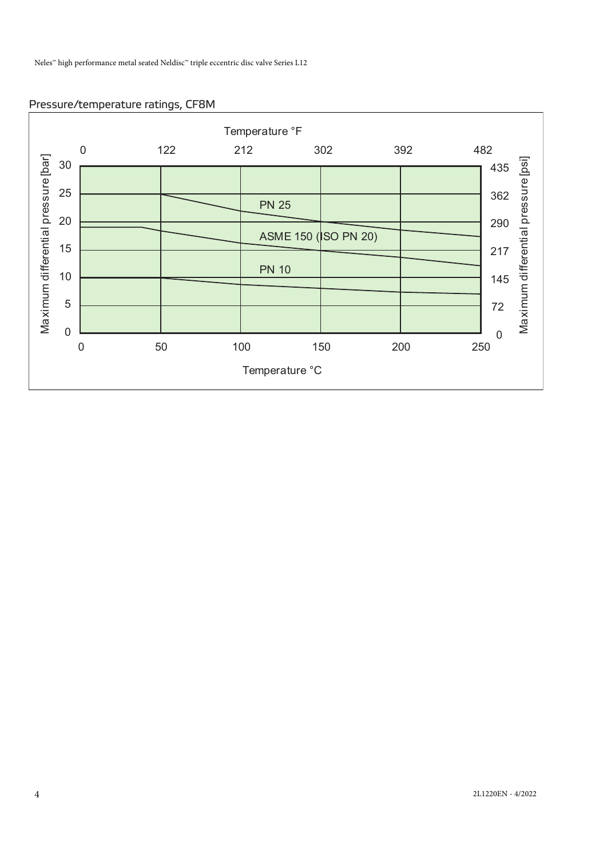## Pressure/temperature ratings, CF8M

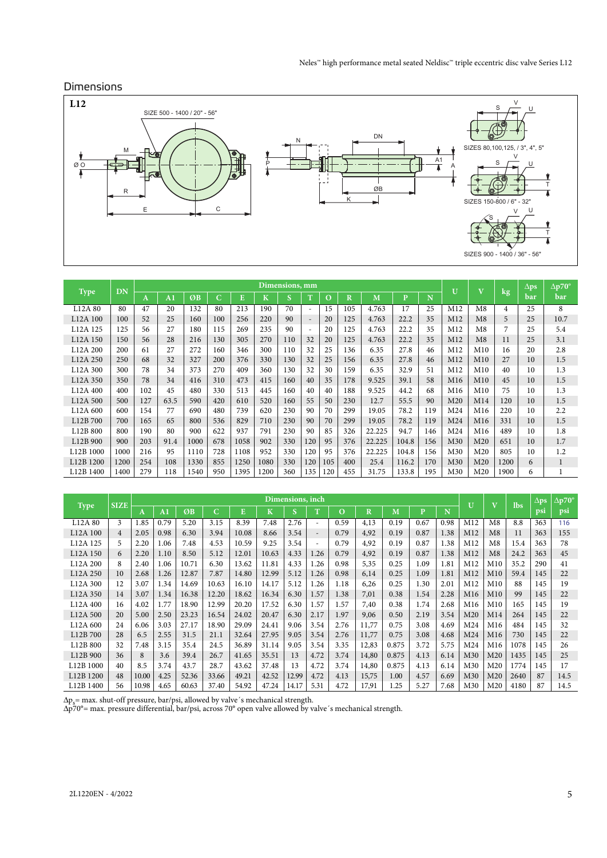## Dimensions



| <b>Type</b>           | DN   |              |                |      |     |      |         | Dimensions, mm |     |     |         |        |       |     | $\mathbf{U}$    | $\mathbf{V}$    | $\log$         | $\Delta$ ps | $\Delta p70^\circ$ |
|-----------------------|------|--------------|----------------|------|-----|------|---------|----------------|-----|-----|---------|--------|-------|-----|-----------------|-----------------|----------------|-------------|--------------------|
|                       |      | $\mathbf{A}$ | A <sub>1</sub> | ØB   | C   | E    | $\bf K$ | <b>S</b>       | T   | O   | $\bf R$ | M      | P     | N   |                 |                 |                | bar         | bar                |
| L <sub>12</sub> A 80  | 80   | 47           | 20             | 132  | 80  | 213  | 190     | 70             |     | 15  | 105     | 4.763  | 17    | 25  | M12             | M8              | $\overline{4}$ | 25          | 8                  |
| L12A 100              | 100  | 52           | 25             | 160  | 100 | 256  | 220     | 90             |     | 20  | 125     | 4.763  | 22.2  | 35  | M12             | M8              | 5              | 25          | 10.7               |
| L12A 125              | 125  | 56           | 27             | 180  | 115 | 269  | 235     | 90             |     | 20  | 125     | 4.763  | 22.2  | 35  | M12             | M8              | 7              | 25          | 5.4                |
| L12A 150              | 150  | 56           | 28             | 216  | 130 | 305  | 270     | 110            | 32  | 20  | 125     | 4.763  | 22.2  | 35  | M12             | M8              | 11             | 25          | 3.1                |
| L <sub>12</sub> A 200 | 200  | 61           | 27             | 272  | 160 | 346  | 300     | 110            | 32  | 25  | 136     | 6.35   | 27.8  | 46  | M <sub>12</sub> | M10             | 16             | 20          | 2.8                |
| L <sub>12</sub> A 250 | 250  | 68           | 32             | 327  | 200 | 376  | 330     | 130            | 32  | 25  | 156     | 6.35   | 27.8  | 46  | M12             | M10             | 27             | 10          | 1.5                |
| L12A 300              | 300  | 78           | 34             | 373  | 270 | 409  | 360     | 130            | 32  | 30  | 159     | 6.35   | 32.9  | 51  | M12             | M <sub>10</sub> | 40             | 10          | 1.3                |
| L12A 350              | 350  | 78           | 34             | 416  | 310 | 473  | 415     | 160            | 40  | 35  | 178     | 9.525  | 39.1  | 58  | M16             | M10             | 45             | 10          | 1.5                |
| L <sub>12</sub> A 400 | 400  | 102          | 45             | 480  | 330 | 513  | 445     | 160            | 40  | 40  | 188     | 9.525  | 44.2  | 68  | M16             | M10             | 75             | 10          | 1.3                |
| L12A 500              | 500  | 127          | 63.5           | 590  | 420 | 610  | 520     | 160            | 55  | 50  | 230     | 12.7   | 55.5  | 90  | M <sub>20</sub> | M14             | 120            | 10          | 1.5                |
| L12A 600              | 600  | 154          | 77             | 690  | 480 | 739  | 620     | 230            | 90  | 70  | 299     | 19.05  | 78.2  | 119 | M <sub>24</sub> | M <sub>16</sub> | 220            | 10          | 2.2                |
| L12B 700              | 700  | 165          | 65             | 800  | 536 | 829  | 710     | 230            | 90  | 70  | 299     | 19.05  | 78.2  | 119 | M <sub>24</sub> | M16             | 331            | 10          | 1.5                |
| L12B 800              | 800  | 190          | 80             | 900  | 622 | 937  | 791     | 230            | 90  | 85  | 326     | 22.225 | 94.7  | 146 | M <sub>24</sub> | M <sub>16</sub> | 489            | 10          | 1.8                |
| L12B 900              | 900  | 203          | 91.4           | 1000 | 678 | 1058 | 902     | 330            | 120 | 95  | 376     | 22.225 | 104.8 | 156 | M30             | M <sub>20</sub> | 651            | 10          | 1.7                |
| L12B 1000             | 1000 | 216          | 95             | 1110 | 728 | 1108 | 952     | 330            | 120 | 95  | 376     | 22.225 | 104.8 | 156 | M30             | M <sub>20</sub> | 805            | 10          | 1.2                |
| L12B 1200             | 1200 | 254          | 108            | 1330 | 855 | 1250 | 1080    | 330            | 120 | 105 | 400     | 25.4   | 116.2 | 170 | M30             | M <sub>20</sub> | 1200           | 6           | $\mathbf{1}$       |
| L12B 1400             | 1400 | 279          | 118            | 1540 | 950 | 1395 | 1200    | 360            | 135 | 120 | 455     | 31.75  | 133.8 | 195 | M30             | M <sub>20</sub> | 1900           | 6           |                    |

|                                   | <b>SIZE</b>    |       |                |       |       |       |         | Dimensions, inch        |                          |          |                         |       |      |      | U               | $\mathbf{V}$    | <b>lbs</b> | $\Delta ps$ | $\Delta$ p70° |
|-----------------------------------|----------------|-------|----------------|-------|-------|-------|---------|-------------------------|--------------------------|----------|-------------------------|-------|------|------|-----------------|-----------------|------------|-------------|---------------|
| <b>Type</b>                       |                | A     | A <sub>1</sub> | ØB    | C.    | E     | $\bf K$ | $\overline{\mathbf{s}}$ | T                        | $\Omega$ | $\overline{\mathbf{R}}$ | M     | P    | N    |                 |                 |            | psi         | psi           |
| L12A 80                           | 3              | 1.85  | 0.79           | 5.20  | 3.15  | 8.39  | 7.48    | 2.76                    |                          | 0.59     | 4,13                    | 0.19  | 0.67 | 0.98 | M12             | M8              | 8.8        | 363         | 116           |
| L12A 100                          | $\overline{4}$ | 2.05  | 0.98           | 6.30  | 3.94  | 10.08 | 8.66    | 3.54                    | $\overline{\phantom{a}}$ | 0.79     | 4,92                    | 0.19  | 0.87 | 1.38 | M12             | M8              | 11         | 363         | 155           |
| L <sub>12</sub> A <sub>125</sub>  | 5              | 2.20  | 1.06           | 7.48  | 4.53  | 10.59 | 9.25    | 3.54                    |                          | 0.79     | 4,92                    | 0.19  | 0.87 | 1.38 | M12             | M8              | 15.4       | 363         | 78            |
| L <sub>12</sub> A <sub>150</sub>  | 6              | 2.20  | 1.10           | 8.50  | 5.12  | 12.01 | 10.63   | 4.33                    | 1.26                     | 0.79     | 4,92                    | 0.19  | 0.87 | 1.38 | M12             | M8              | 24.2       | 363         | 45            |
| L12A 200                          | 8              | 2.40  | 1.06           | 10.71 | 6.30  | 13.62 | 11.81   | 4.33                    | 1.26                     | 0.98     | 5,35                    | 0.25  | 1.09 | 1.81 | M12             | M10             | 35.2       | 290         | 41            |
| L12A 250                          | 10             | 2.68  | 1.26           | 12.87 | 7.87  | 14.80 | 12.99   | 5.12                    | 1.26                     | 0.98     | 6,14                    | 0.25  | 1.09 | 1.81 | M12             | M10             | 59.4       | 145         | 22            |
| L <sub>12</sub> A 300             | 12             | 3.07  | 1.34           | 14.69 | 10.63 | 16.10 | 14.17   | 5.12                    | 1.26                     | 1.18     | 6,26                    | 0.25  | 1.30 | 2.01 | M12             | M10             | 88         | 145         | 19            |
| L <sub>12</sub> A 350             | 14             | 3.07  | 1.34           | 16.38 | 12.20 | 18.62 | 16.34   | 6.30                    | 1.57                     | 1.38     | 7,01                    | 0.38  | 1.54 | 2.28 | M <sub>16</sub> | M10             | 99         | 145         | 22            |
| L <sub>12</sub> A 400             | 16             | 4.02  | 1.77           | 18.90 | 12.99 | 20.20 | 17.52   | 6.30                    | 1.57                     | 1.57     | 7,40                    | 0.38  | 1.74 | 2.68 | M16             | M10             | 165        | 145         | 19            |
| L <sub>12</sub> A 500             | 20             | 5.00  | 2.50           | 23.23 | 16.54 | 24.02 | 20.47   | 6.30                    | 2.17                     | 1.97     | 9,06                    | 0.50  | 2.19 | 3.54 | M <sub>20</sub> | M14             | 264        | 145         | 22            |
| L12A 600                          | 24             | 6.06  | 3.03           | 27.17 | 18.90 | 29.09 | 24.41   | 9.06                    | 3.54                     | 2.76     | 11,77                   | 0.75  | 3.08 | 4.69 | M <sub>24</sub> | M <sub>16</sub> | 484        | 145         | 32            |
| L12B 700                          | 28             | 6.5   | 2.55           | 31.5  | 21.1  | 32.64 | 27.95   | 9.05                    | 3.54                     | 2.76     | 11,77                   | 0.75  | 3.08 | 4.68 | M24             | M16             | 730        | 145         | 22            |
| L12B 800                          | 32             | 7.48  | 3.15           | 35.4  | 24.5  | 36.89 | 31.14   | 9.05                    | 3.54                     | 3.35     | 12,83                   | 0.875 | 3.72 | 5.75 | M24             | M <sub>16</sub> | 1078       | 145         | 26            |
| L12B 900                          | 36             | 8     | 3.6            | 39.4  | 26.7  | 41.65 | 35.51   | 13                      | 4.72                     | 3.74     | 14,80                   | 0.875 | 4.13 | 6.14 | M30             | M <sub>20</sub> | 1435       | 145         | 25            |
| L12B 1000                         | 40             | 8.5   | 3.74           | 43.7  | 28.7  | 43.62 | 37.48   | 13                      | 4.72                     | 3.74     | 14,80                   | 0.875 | 4.13 | 6.14 | M30             | M <sub>20</sub> | 1774       | 145         | 17            |
| L12B 1200                         | 48             | 10.00 | 4.25           | 52.36 | 33.66 | 49.21 | 42.52   | 12.99                   | 4.72                     | 4.13     | 15,75                   | 1.00  | 4.57 | 6.69 | M30             | M20             | 2640       | 87          | 14.5          |
| L <sub>12</sub> B <sub>1400</sub> | 56             | 10.98 | 4.65           | 60.63 | 37.40 | 54.92 | 47.24   | 14.17                   | 5.31                     | 4.72     | 17,91                   | 1.25  | 5.27 | 7.68 | M30             | M <sub>20</sub> | 4180       | 87          | 14.5          |

Δps= max. shut-off pressure, bar/psi, allowed by valve´s mechanical strength. Δp70°= max. pressure differential, bar/psi, across 70° open valve allowed by valve´s mechanical strength.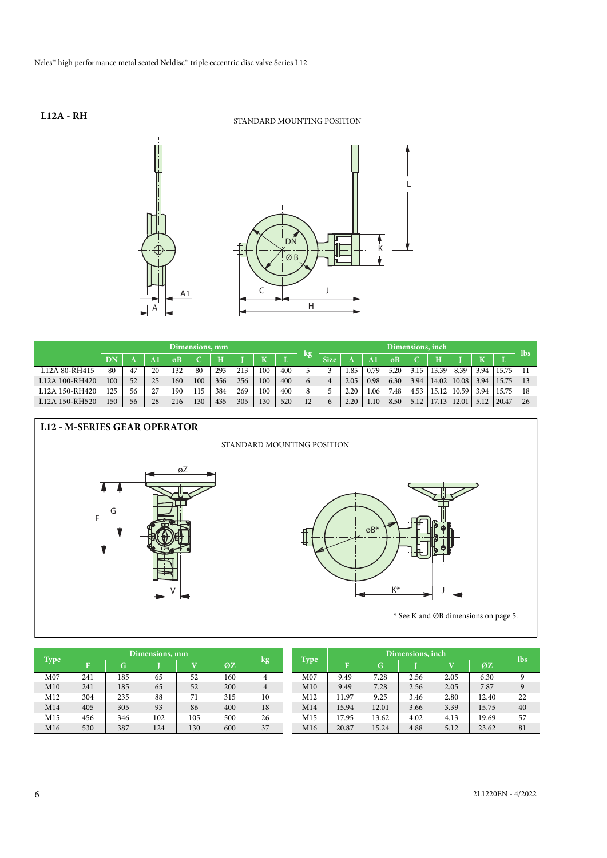

|                                         |                     | Dimensions, mm |    |     |     |     |     |     |     |    | Dimensions, inch |      |      |      |      |       |       |      | lbs.  |     |
|-----------------------------------------|---------------------|----------------|----|-----|-----|-----|-----|-----|-----|----|------------------|------|------|------|------|-------|-------|------|-------|-----|
|                                         | $\overline{\rm DN}$ |                |    |     | C.  | H   |     | πz  |     | kg | <b>Size</b>      |      | A    | øB   |      |       |       |      |       |     |
| L12A 80-RH415                           | 80                  | 47             | 20 | 132 | 80  | 293 | 213 | 100 | 400 |    |                  | 1.85 | 0.79 | 5.20 | 3.15 | 13.39 | 8.39  | 3.94 | 15.75 |     |
| L12A 100-RH420                          | 100                 | 52             | 25 | 160 | 100 | 356 | 256 | 100 | 400 | 6  |                  | 2.05 | 0.98 | 6.30 | 3.94 | 14.02 | 10.08 | 3.94 | 15.75 |     |
| L <sub>12</sub> A 150-RH <sub>420</sub> | 25                  | 56             | 27 | 190 | 115 | 384 | 269 | 100 | 400 | 8  |                  | 2.20 | .06  | 7.48 | 4.53 | 15.12 | 10.59 | 3.94 | 15.75 | -18 |
| L12A 150-RH520                          | 150                 | 56             | 28 | 216 | 130 | 435 | 305 | 130 | 520 | 12 | $\sigma$         | 2.20 | 1.10 | 8.50 | 5.12 | 17.13 |       | 5.12 | 20.47 | 26  |



|      |     |     | Dimensions, mm |     |     |    |                 |       |       | Dimensions, inch |      |       | lbs |
|------|-----|-----|----------------|-----|-----|----|-----------------|-------|-------|------------------|------|-------|-----|
| Type |     | G   |                |     | ØZ  | kg | <b>Type</b>     | --    | G     |                  |      | ØZ    |     |
| M07  | 241 | 185 | 65             | 52  | 160 | 4  | M07             | 9.49  | 7.28  | 2.56             | 2.05 | 6.30  |     |
| M10  | 241 | 185 | 65             | 52  | 200 | 4  | M10             | 9.49  | 7.28  | 2.56             | 2.05 | 7.87  |     |
| M12  | 304 | 235 | 88             | 71  | 315 | 10 | M12             | 11.97 | 9.25  | 3.46             | 2.80 | 12.40 | 22  |
| M14  | 405 | 305 | 93             | 86  | 400 | 18 | M14             | 15.94 | 12.01 | 3.66             | 3.39 | 15.75 | 40  |
| M15  | 456 | 346 | 102            | 105 | 500 | 26 | M15             | 17.95 | 13.62 | 4.02             | 4.13 | 19.69 | 57  |
| M16  | 530 | 387 | 124            | 130 | 600 | 37 | M <sub>16</sub> | 20.87 | 15.24 | 4.88             | 5.12 | 23.62 | 81  |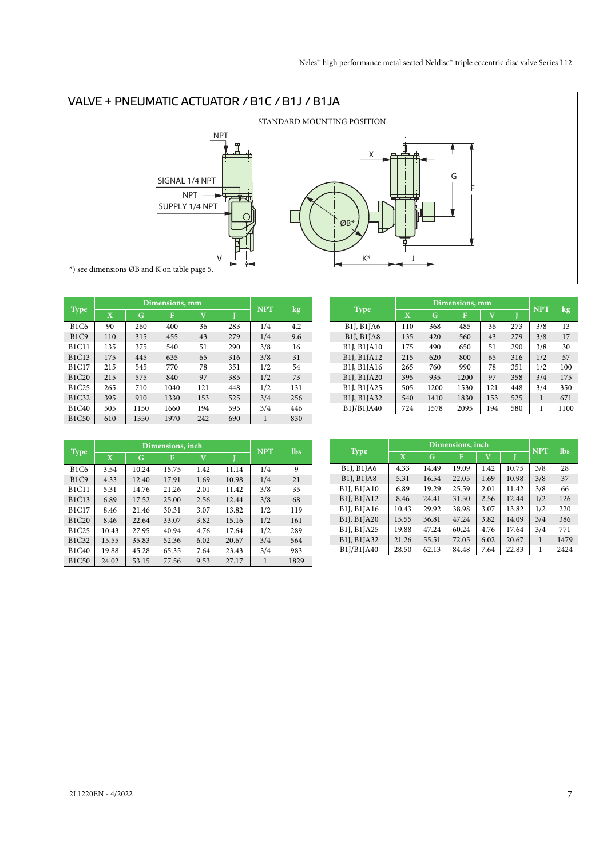

|              |             |      | Dimensions, mm |                         |     | <b>NPT</b> |     |
|--------------|-------------|------|----------------|-------------------------|-----|------------|-----|
| <b>Type</b>  | $\mathbf X$ | G    | F              | $\overline{\mathbf{V}}$ |     |            | kg  |
| <b>B1C6</b>  | 90          | 260  | 400            | 36                      | 283 | 1/4        | 4.2 |
| <b>B1C9</b>  | 110         | 315  | 455            | 43                      | 279 | 1/4        | 9.6 |
| <b>B1C11</b> | 135         | 375  | 540            | 51                      | 290 | 3/8        | 16  |
| <b>B1C13</b> | 175         | 445  | 635            | 65                      | 316 | 3/8        | 31  |
| <b>B1C17</b> | 215         | 545  | 770            | 78                      | 351 | 1/2        | 54  |
| <b>B1C20</b> | 215         | 575  | 840            | 97                      | 385 | 1/2        | 73  |
| B1C25        | 265         | 710  | 1040           | 121                     | 448 | 1/2        | 131 |
| B1C32        | 395         | 910  | 1330           | 153                     | 525 | 3/4        | 256 |
| <b>B1C40</b> | 505         | 1150 | 1660           | 194                     | 595 | 3/4        | 446 |
| <b>B1C50</b> | 610         | 1350 | 1970           | 242                     | 690 | 1          | 830 |

|                                                              |                         |      | Dimensions, mm |             |     | <b>NPT</b> |                        |
|--------------------------------------------------------------|-------------------------|------|----------------|-------------|-----|------------|------------------------|
| <b>Type</b>                                                  | $\overline{\mathbf{X}}$ | G    | F              | $\mathbf v$ |     |            | $\overline{\text{kg}}$ |
| B <sub>1</sub> J, B <sub>1</sub> JA6                         | 110                     | 368  | 485            | 36          | 273 | 3/8        | 13                     |
| <b>B1J, B1JA8</b>                                            | 135                     | 420  | 560            | 43          | 279 | 3/8        | 17                     |
| <b>B1J, B1JA10</b>                                           | 175                     | 490  | 650            | 51          | 290 | 3/8        | 30                     |
| B <sub>1</sub> J, B <sub>1</sub> J <sub>A<sub>12</sub></sub> | 215                     | 620  | 800            | 65          | 316 | 1/2        | 57                     |
| <b>B1J, B1JA16</b>                                           | 265                     | 760  | 990            | 78          | 351 | 1/2        | 100                    |
| B1J, B1JA20                                                  | 395                     | 935  | 1200           | 97          | 358 | 3/4        | 175                    |
| B1J, B1JA25                                                  | 505                     | 1200 | 1530           | 121         | 448 | 3/4        | 350                    |
| B1J, B1JA32                                                  | 540                     | 1410 | 1830           | 153         | 525 | 1          | 671                    |
| B1J/B1JA40                                                   | 724                     | 1578 | 2095           | 194         | 580 | 1          | 1100                   |

|              |             |       | Dimensions, inch |                         |       | <b>NPT</b> | <b>lbs</b> |
|--------------|-------------|-------|------------------|-------------------------|-------|------------|------------|
| <b>Type</b>  | $\mathbf X$ | G     | F                | $\overline{\mathbf{V}}$ |       |            |            |
| <b>B1C6</b>  | 3.54        | 10.24 | 15.75            | 1.42                    | 11.14 | 1/4        | 9          |
| B1C9         | 4.33        | 12.40 | 17.91            | 1.69                    | 10.98 | 1/4        | 21         |
| <b>B1C11</b> | 5.31        | 14.76 | 21.26            | 2.01                    | 11.42 | 3/8        | 35         |
| <b>B1C13</b> | 6.89        | 17.52 | 25.00            | 2.56                    | 12.44 | 3/8        | 68         |
| <b>B1C17</b> | 8.46        | 21.46 | 30.31            | 3.07                    | 13.82 | 1/2        | 119        |
| <b>B1C20</b> | 8.46        | 22.64 | 33.07            | 3.82                    | 15.16 | 1/2        | 161        |
| B1C25        | 10.43       | 27.95 | 40.94            | 4.76                    | 17.64 | 1/2        | 289        |
| <b>B1C32</b> | 15.55       | 35.83 | 52.36            | 6.02                    | 20.67 | 3/4        | 564        |
| B1C40        | 19.88       | 45.28 | 65.35            | 7.64                    | 23.43 | 3/4        | 983        |
| <b>B1C50</b> | 24.02       | 53.15 | 77.56            | 9.53                    | 27.17 | 1          | 1829       |

|                    |                         |       | Dimensions, inch |                         |       | <b>NPT</b> | <b>lbs</b> |
|--------------------|-------------------------|-------|------------------|-------------------------|-------|------------|------------|
| <b>Type</b>        | $\overline{\mathbf{X}}$ | G     | F                | $\overline{\mathbf{V}}$ |       |            |            |
| <b>B1J, B1JA6</b>  | 4.33                    | 14.49 | 19.09            | 1.42                    | 10.75 | 3/8        | 28         |
| <b>B1J, B1JA8</b>  | 5.31                    | 16.54 | 22.05            | 1.69                    | 10.98 | 3/8        | 37         |
| <b>B1J, B1JA10</b> | 6.89                    | 19.29 | 25.59            | 2.01                    | 11.42 | 3/8        | 66         |
| B1J, B1JA12        | 8.46                    | 24.41 | 31.50            | 2.56                    | 12.44 | 1/2        | 126        |
| B1J, B1JA16        | 10.43                   | 29.92 | 38.98            | 3.07                    | 13.82 | 1/2        | 220        |
| B1J, B1JA20        | 15.55                   | 36.81 | 47.24            | 3.82                    | 14.09 | 3/4        | 386        |
| B1J, B1JA25        | 19.88                   | 47.24 | 60.24            | 4.76                    | 17.64 | 3/4        | 771        |
| B1J, B1JA32        | 21.26                   | 55.51 | 72.05            | 6.02                    | 20.67 | 1          | 1479       |
| B1J/B1JA40         | 28.50                   | 62.13 | 84.48            | 7.64                    | 22.83 | 1          | 2424       |